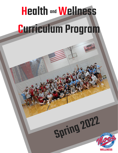## Health and Wellness Curriculum Program and

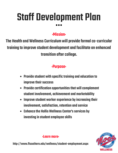# Staff Development Plan

#### :Mission:

The Health and Wellness Curriculum will provide formal co-curricular training to improve student development and facilitate an enhanced transition after college.

#### :Purpose:

- Provide student with specific training and education to improve their success
- Provide certification opportunities that will complement student involvement, achievement and marketability
- Improve student worker experience by increasing their involvement, satisfaction, retention and service
- Enhance the Hollis Wellness Center's services by investing in student employee skills



#### :Learn more:

http://www.flsouthern.edu/wellness/student-employment.aspx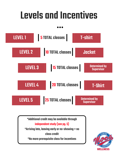# **Levels and Incentives**



\*Additional credit may be available through independent study (see pg. 5) \*Arriving late, leaving early or no-showing  $=$  no classcredit \*No moreprerequisiteclassfor incentives

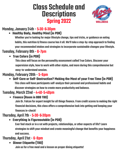### **Class Schedule and Descriptions Spring 2022**



#### Monday,January24th-5:30-6:30pm

#### **Healthy Body, Healthy Mind (in PDR)**

Whether you're looking for major lifestyle change, tips and tricks, or guidance on eating habits, this nutrition & fitness course has it all. We'll take a step-by-step approach to finding your recommended intakes and strategies to incorporate sustainable changes your lifestyle.

#### Tuesday, February 8th - 6-7pm

#### **True Colors (in PDR)**

This class will focus on the personality assessment called True Colors. Discover your supervision style, how to work with other styles, and more during this comprehensive but easy-to-understand session.

#### Monday, February 28th - 5-6pm

**Self-Care or Self-Destruction? Making the Most of yourFree Time (in PDR)** This class will have participants self-analyze their personal and professional habits and discover strategies on how to create more productivity and balance.

#### Tuesday, March 22nd - 4:40-5:40pm

**Finance (Room in BBB TBD)**

Join Dr. Falcon for expert insight for all things finance. From credit scores to making the right financial decisions, this class offers a comprehensive look into getting and keeping your financesin-check!

#### Thursday, April 7th - 5-30-6-30pm

**Everything is Figureoutable (in PDR)**

Ever feel stuck or in a rut with projects, relationships, or other aspects of life? Learn strategies to shift your mindset and create meaningful change that benefits your happiness and success.

#### Thursday, April 21st - 6-8pm

**Dinner Etiquette (TBD)**

Join us for a free meal and a lesson on proper dining etiquette!